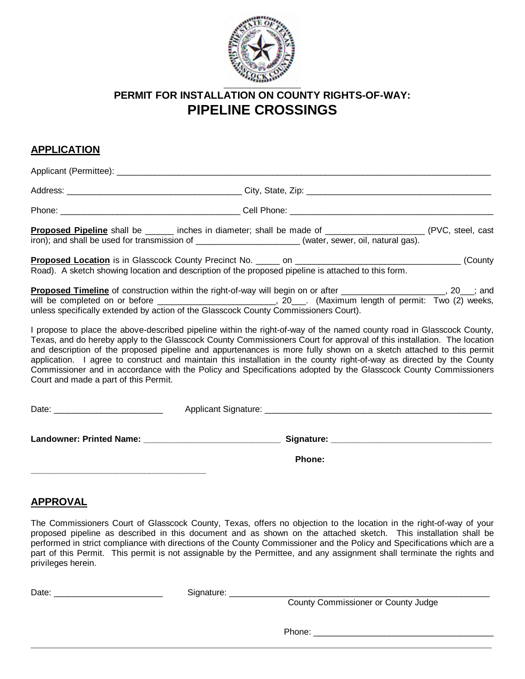

# **PERMIT FOR INSTALLATION ON COUNTY RIGHTS-OF-WAY: PIPELINE CROSSINGS**

## **APPLICATION**

Applicant (Permittee):  $\blacksquare$ 

| <b>Proposed Pipeline</b> shall be ______ inches in diameter; shall be made of ___________________________<br>iron); and shall be used for transmission of _______________________(water, sewer, oil, natural gas). | (PVC, steel, cast) |
|--------------------------------------------------------------------------------------------------------------------------------------------------------------------------------------------------------------------|--------------------|
|                                                                                                                                                                                                                    | (County)           |

Road). A sketch showing location and description of the proposed pipeline is attached to this form.

**Proposed Timeline** of construction within the right-of-way will begin on or after \_\_\_\_\_\_\_\_\_\_\_\_\_\_\_\_\_\_, 20\_\_\_; and<br>will be completed on or before **the example of the set of the set of the set of the set of the set of the se** ,  $20$  . (Maximum length of permit: Two (2) weeks, unless specifically extended by action of the Glasscock County Commissioners Court).

I propose to place the above-described pipeline within the right-of-way of the named county road in Glasscock County, Texas, and do hereby apply to the Glasscock County Commissioners Court for approval of this installation. The location and description of the proposed pipeline and appurtenances is more fully shown on a sketch attached to this permit application. I agree to construct and maintain this installation in the county right-of-way as directed by the County Commissioner and in accordance with the Policy and Specifications adopted by the Glasscock County Commissioners Court and made a part of this Permit.

| Date:                    | Applicant Signature: |
|--------------------------|----------------------|
| Landowner: Printed Name: | Signature:           |
|                          | <b>Phone:</b>        |

# **APPROVAL**

The Commissioners Court of Glasscock County, Texas, offers no objection to the location in the right-of-way of your proposed pipeline as described in this document and as shown on the attached sketch. This installation shall be performed in strict compliance with directions of the County Commissioner and the Policy and Specifications which are a part of this Permit. This permit is not assignable by the Permittee, and any assignment shall terminate the rights and privileges herein.

**\_\_\_\_\_\_\_\_\_\_\_\_\_\_\_\_\_\_\_\_\_\_\_\_\_\_\_\_\_\_\_\_\_\_\_\_\_\_\_\_\_\_\_\_\_\_\_\_\_\_\_\_\_\_\_\_\_\_\_\_\_\_\_\_\_\_\_\_\_\_\_\_\_\_\_\_\_\_\_\_**

| Date | i ira<br>. |  |   |  |  |  |  |  |
|------|------------|--|---|--|--|--|--|--|
|      |            |  | _ |  |  |  |  |  |

**\_\_\_\_\_\_\_\_\_\_\_\_\_\_\_\_\_\_\_\_\_\_\_\_\_\_\_\_\_\_\_\_\_\_\_\_\_**

County Commissioner or County Judge

Phone: \_\_\_\_\_\_\_\_\_\_\_\_\_\_\_\_\_\_\_\_\_\_\_\_\_\_\_\_\_\_\_\_\_\_\_\_\_\_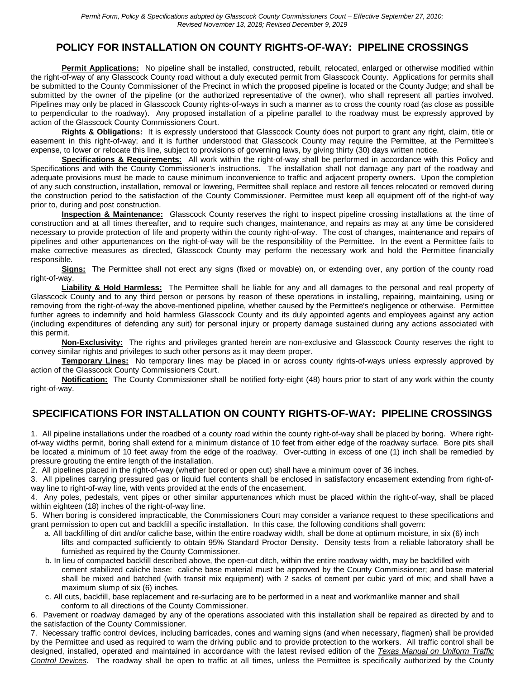## **POLICY FOR INSTALLATION ON COUNTY RIGHTS-OF-WAY: PIPELINE CROSSINGS**

**Permit Applications:** No pipeline shall be installed, constructed, rebuilt, relocated, enlarged or otherwise modified within the right-of-way of any Glasscock County road without a duly executed permit from Glasscock County. Applications for permits shall be submitted to the County Commissioner of the Precinct in which the proposed pipeline is located or the County Judge; and shall be submitted by the owner of the pipeline (or the authorized representative of the owner), who shall represent all parties involved. Pipelines may only be placed in Glasscock County rights-of-ways in such a manner as to cross the county road (as close as possible to perpendicular to the roadway). Any proposed installation of a pipeline parallel to the roadway must be expressly approved by action of the Glasscock County Commissioners Court.

**Rights & Obligations:** It is expressly understood that Glasscock County does not purport to grant any right, claim, title or easement in this right-of-way; and it is further understood that Glasscock County may require the Permittee, at the Permittee's expense, to lower or relocate this line, subject to provisions of governing laws, by giving thirty (30) days written notice.

**Specifications & Requirements:** All work within the right-of-way shall be performed in accordance with this Policy and Specifications and with the County Commissioner's instructions. The installation shall not damage any part of the roadway and adequate provisions must be made to cause minimum inconvenience to traffic and adjacent property owners. Upon the completion of any such construction, installation, removal or lowering, Permittee shall replace and restore all fences relocated or removed during the construction period to the satisfaction of the County Commissioner. Permittee must keep all equipment off of the right-of way prior to, during and post construction.

**Inspection & Maintenance:** Glasscock County reserves the right to inspect pipeline crossing installations at the time of construction and at all times thereafter, and to require such changes, maintenance, and repairs as may at any time be considered necessary to provide protection of life and property within the county right-of-way. The cost of changes, maintenance and repairs of pipelines and other appurtenances on the right-of-way will be the responsibility of the Permittee. In the event a Permittee fails to make corrective measures as directed, Glasscock County may perform the necessary work and hold the Permittee financially responsible.

**Signs:** The Permittee shall not erect any signs (fixed or movable) on, or extending over, any portion of the county road right-of-way.

**Liability & Hold Harmless:** The Permittee shall be liable for any and all damages to the personal and real property of Glasscock County and to any third person or persons by reason of these operations in installing, repairing, maintaining, using or removing from the right-of-way the above-mentioned pipeline, whether caused by the Permittee's negligence or otherwise. Permittee further agrees to indemnify and hold harmless Glasscock County and its duly appointed agents and employees against any action (including expenditures of defending any suit) for personal injury or property damage sustained during any actions associated with this permit.

**Non-Exclusivity:** The rights and privileges granted herein are non-exclusive and Glasscock County reserves the right to convey similar rights and privileges to such other persons as it may deem proper.

**Temporary Lines:** No temporary lines may be placed in or across county rights-of-ways unless expressly approved by action of the Glasscock County Commissioners Court.

**Notification:** The County Commissioner shall be notified forty-eight (48) hours prior to start of any work within the county right-of-way.

#### **SPECIFICATIONS FOR INSTALLATION ON COUNTY RIGHTS-OF-WAY: PIPELINE CROSSINGS**

1. All pipeline installations under the roadbed of a county road within the county right-of-way shall be placed by boring. Where rightof-way widths permit, boring shall extend for a minimum distance of 10 feet from either edge of the roadway surface. Bore pits shall be located a minimum of 10 feet away from the edge of the roadway. Over-cutting in excess of one (1) inch shall be remedied by pressure grouting the entire length of the installation.

2. All pipelines placed in the right-of-way (whether bored or open cut) shall have a minimum cover of 36 inches.

3. All pipelines carrying pressured gas or liquid fuel contents shall be enclosed in satisfactory encasement extending from right-ofway line to right-of-way line, with vents provided at the ends of the encasement.

4. Any poles, pedestals, vent pipes or other similar appurtenances which must be placed within the right-of-way, shall be placed within eighteen (18) inches of the right-of-way line.

5. When boring is considered impracticable, the Commissioners Court may consider a variance request to these specifications and grant permission to open cut and backfill a specific installation. In this case, the following conditions shall govern:

- a. All backfilling of dirt and/or caliche base, within the entire roadway width, shall be done at optimum moisture, in six (6) inch lifts and compacted sufficiently to obtain 95% Standard Proctor Density. Density tests from a reliable laboratory shall be furnished as required by the County Commissioner.
- b. In lieu of compacted backfill described above, the open-cut ditch, within the entire roadway width, may be backfilled with cement stabilized caliche base: caliche base material must be approved by the County Commissioner; and base material shall be mixed and batched (with transit mix equipment) with 2 sacks of cement per cubic yard of mix; and shall have a maximum slump of six (6) inches.
- c. All cuts, backfill, base replacement and re-surfacing are to be performed in a neat and workmanlike manner and shall conform to all directions of the County Commissioner.

6. Pavement or roadway damaged by any of the operations associated with this installation shall be repaired as directed by and to the satisfaction of the County Commissioner.

7. Necessary traffic control devices, including barricades, cones and warning signs (and when necessary, flagmen) shall be provided by the Permittee and used as required to warn the driving public and to provide protection to the workers. All traffic control shall be designed, installed, operated and maintained in accordance with the latest revised edition of the *Texas Manual on Uniform Traffic Control Devices*. The roadway shall be open to traffic at all times, unless the Permittee is specifically authorized by the County